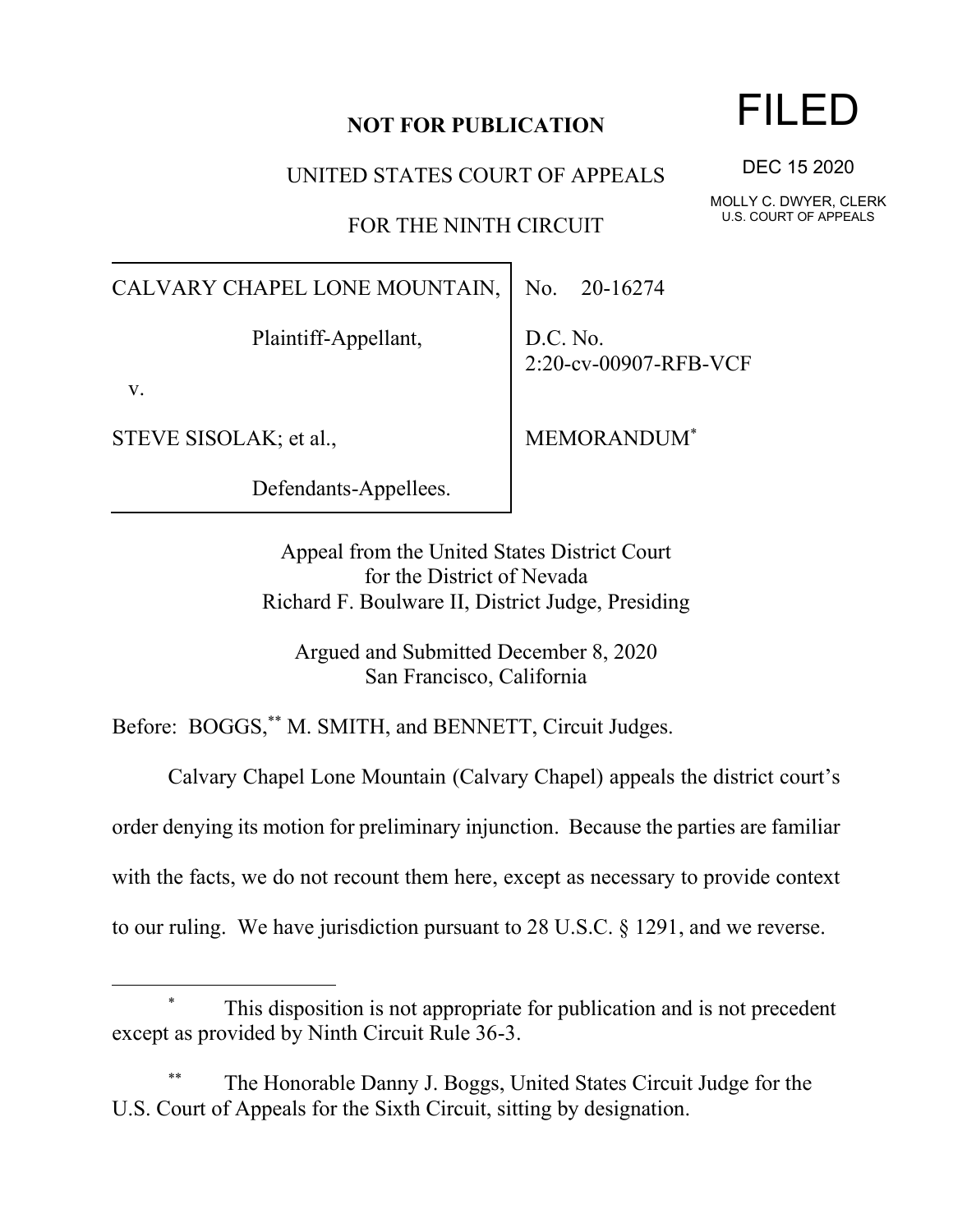## **NOT FOR PUBLICATION**

UNITED STATES COURT OF APPEALS

FOR THE NINTH CIRCUIT

CALVARY CHAPEL LONE MOUNTAIN,

Plaintiff-Appellant,

v.

STEVE SISOLAK; et al.,

Defendants-Appellees.

No. 20-16274

D.C. No. 2:20-cv-00907-RFB-VCF

MEMORANDUM\*

Appeal from the United States District Court for the District of Nevada Richard F. Boulware II, District Judge, Presiding

Argued and Submitted December 8, 2020 San Francisco, California

Before: BOGGS,\*\* M. SMITH, and BENNETT, Circuit Judges.

Calvary Chapel Lone Mountain (Calvary Chapel) appeals the district court's order denying its motion for preliminary injunction. Because the parties are familiar with the facts, we do not recount them here, except as necessary to provide context to our ruling. We have jurisdiction pursuant to 28 U.S.C. § 1291, and we reverse.

DEC 15 2020

MOLLY C. DWYER, CLERK U.S. COURT OF APPEALS

This disposition is not appropriate for publication and is not precedent except as provided by Ninth Circuit Rule 36-3.

The Honorable Danny J. Boggs, United States Circuit Judge for the U.S. Court of Appeals for the Sixth Circuit, sitting by designation.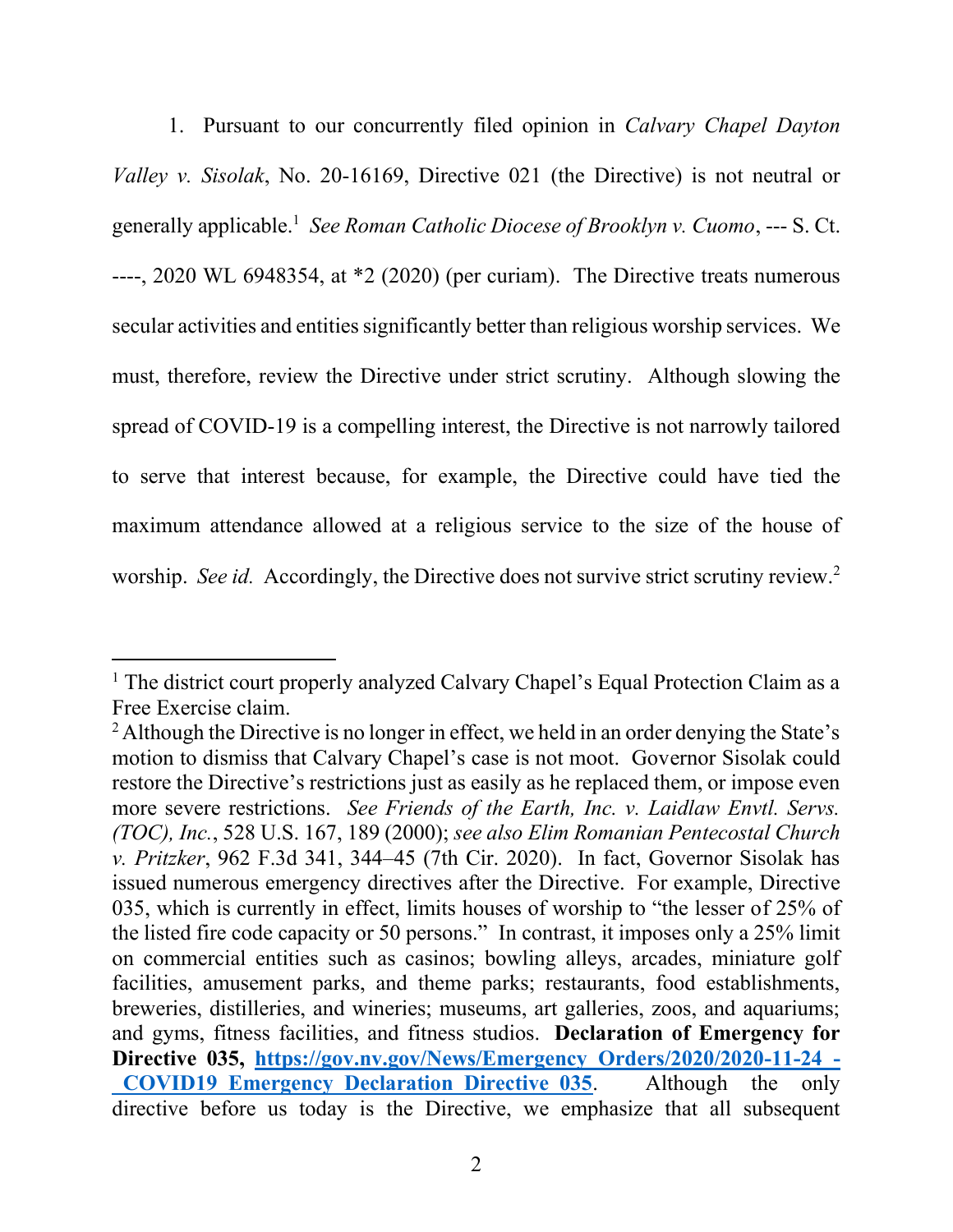1. Pursuant to our concurrently filed opinion in *Calvary Chapel Dayton Valley v. Sisolak*, No. 20-16169, Directive 021 (the Directive) is not neutral or generally applicable.<sup>1</sup> See Roman Catholic Diocese of Brooklyn v. Cuomo, --- S. Ct. ----, 2020 WL 6948354, at \*2 (2020) (per curiam). The Directive treats numerous secular activities and entities significantly better than religious worship services. We must, therefore, review the Directive under strict scrutiny. Although slowing the spread of COVID-19 is a compelling interest, the Directive is not narrowly tailored to serve that interest because, for example, the Directive could have tied the maximum attendance allowed at a religious service to the size of the house of worship. *See id.* Accordingly, the Directive does not survive strict scrutiny review.<sup>2</sup>

<sup>&</sup>lt;sup>1</sup> The district court properly analyzed Calvary Chapel's Equal Protection Claim as a Free Exercise claim.

<sup>&</sup>lt;sup>2</sup> Although the Directive is no longer in effect, we held in an order denying the State's motion to dismiss that Calvary Chapel's case is not moot. Governor Sisolak could restore the Directive's restrictions just as easily as he replaced them, or impose even more severe restrictions. *See Friends of the Earth, Inc. v. Laidlaw Envtl. Servs. (TOC), Inc.*, 528 U.S. 167, 189 (2000); *see also Elim Romanian Pentecostal Church v. Pritzker*, 962 F.3d 341, 344–45 (7th Cir. 2020). In fact, Governor Sisolak has issued numerous emergency directives after the Directive. For example, Directive 035, which is currently in effect, limits houses of worship to "the lesser of 25% of the listed fire code capacity or 50 persons." In contrast, it imposes only a 25% limit on commercial entities such as casinos; bowling alleys, arcades, miniature golf facilities, amusement parks, and theme parks; restaurants, food establishments, breweries, distilleries, and wineries; museums, art galleries, zoos, and aquariums; and gyms, fitness facilities, and fitness studios. **Declaration of Emergency for Directive 035, [https://gov.nv.gov/News/Emergency\\_Orders/2020/2020-11-24\\_-](https://gov.nv.gov/News/Emergency_Orders/2020/2020-11-24_-_COVID19_Emergency_Declaration_Directive_035) COVID19 Emergency Declaration Directive 035.** Although the only directive before us today is the Directive, we emphasize that all subsequent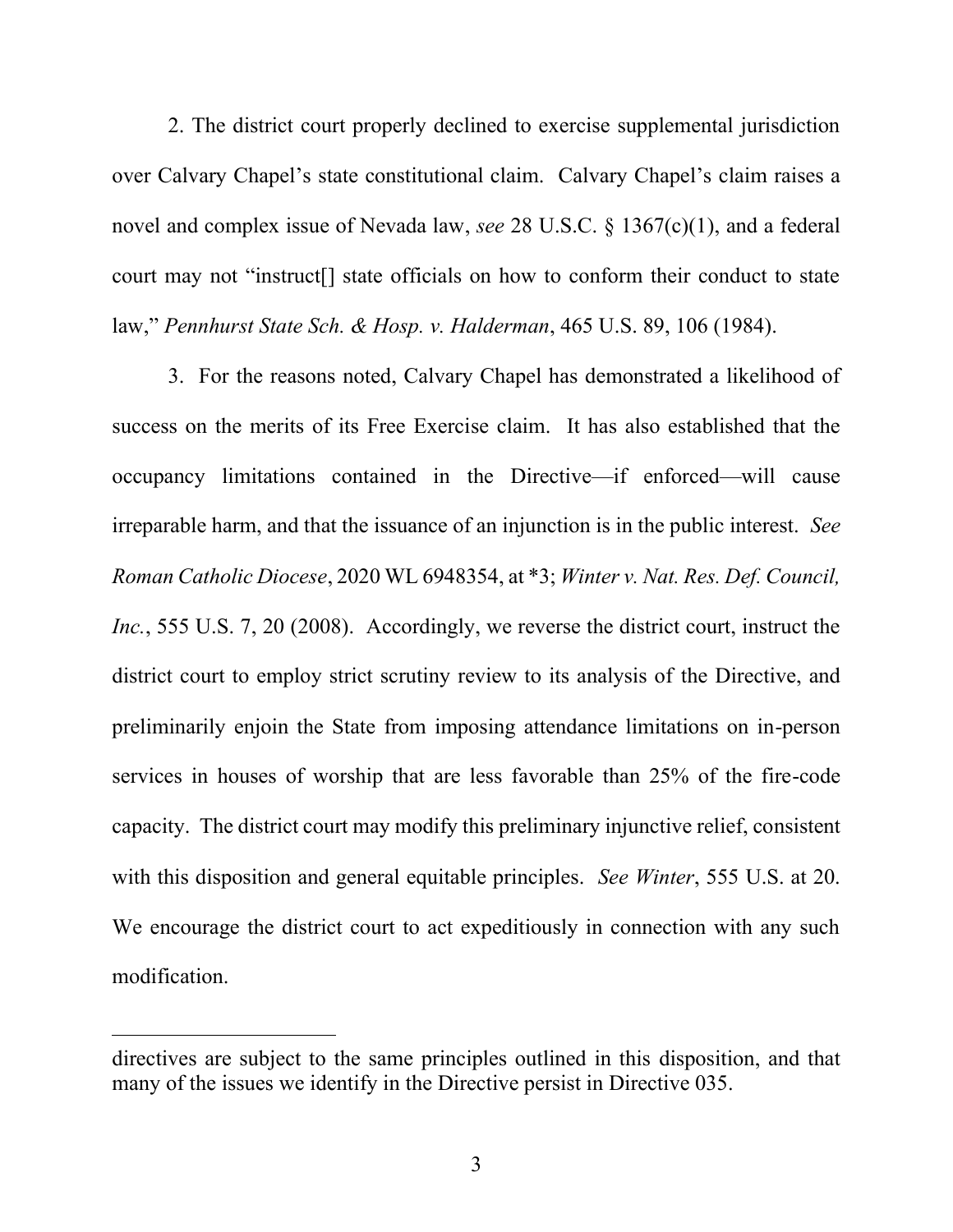2. The district court properly declined to exercise supplemental jurisdiction over Calvary Chapel's state constitutional claim. Calvary Chapel's claim raises a novel and complex issue of Nevada law, *see* 28 U.S.C. § 1367(c)(1), and a federal court may not "instruct[] state officials on how to conform their conduct to state law," *Pennhurst State Sch. & Hosp. v. Halderman*, 465 U.S. 89, 106 (1984).

3. For the reasons noted, Calvary Chapel has demonstrated a likelihood of success on the merits of its Free Exercise claim. It has also established that the occupancy limitations contained in the Directive—if enforced—will cause irreparable harm, and that the issuance of an injunction is in the public interest. *See Roman Catholic Diocese*, 2020 WL 6948354, at \*3; *Winter v. Nat. Res. Def. Council, Inc.*, 555 U.S. 7, 20 (2008). Accordingly, we reverse the district court, instruct the district court to employ strict scrutiny review to its analysis of the Directive, and preliminarily enjoin the State from imposing attendance limitations on in-person services in houses of worship that are less favorable than 25% of the fire-code capacity. The district court may modify this preliminary injunctive relief, consistent with this disposition and general equitable principles. *See Winter*, 555 U.S. at 20. We encourage the district court to act expeditiously in connection with any such modification.

directives are subject to the same principles outlined in this disposition, and that many of the issues we identify in the Directive persist in Directive 035.